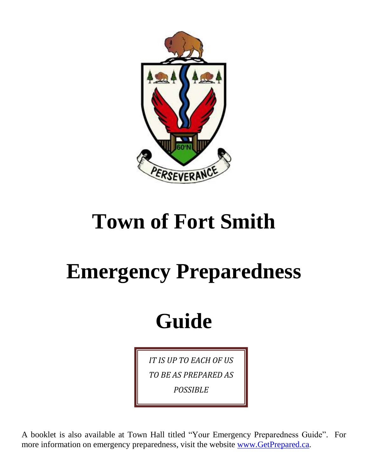

## **Town of Fort Smith**

# **Emergency Preparedness**

## **Guide**

*IT IS UP TO EACH OF US TO BE AS PREPARED AS POSSIBLE*

A booklet is also available at Town Hall titled "Your Emergency Preparedness Guide". For more information on emergency preparedness, visit the website [www.GetPrepared.ca.](http://www.getprepared.ca/)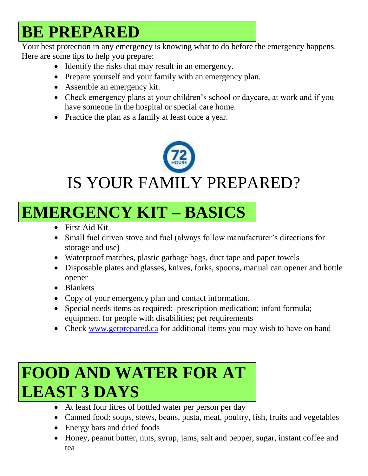### **BE PREPARED**

Your best protection in any emergency is knowing what to do before the emergency happens. Here are some tips to help you prepare:

- Identify the risks that may result in an emergency.
- Prepare yourself and your family with an emergency plan.
- Assemble an emergency kit.
- Check emergency plans at your children's school or daycare, at work and if you have someone in the hospital or special care home.
- Practice the plan as a family at least once a year.



### **EMERGENCY KIT – BASICS**

- First Aid Kit
- Small fuel driven stove and fuel (always follow manufacturer's directions for storage and use)
- Waterproof matches, plastic garbage bags, duct tape and paper towels
- Disposable plates and glasses, knives, forks, spoons, manual can opener and bottle opener
- Blankets
- Copy of your emergency plan and contact information.
- Special needs items as required: prescription medication; infant formula; equipment for people with disabilities; pet requirements
- Check [www.getprepared.ca](http://www.getprepared.ca/) for additional items you may wish to have on hand

### **FOOD AND WATER FOR AT LEAST 3 DAYS**

- At least four litres of bottled water per person per day
- Canned food: soups, stews, beans, pasta, meat, poultry, fish, fruits and vegetables
- Energy bars and dried foods
- Honey, peanut butter, nuts, syrup, jams, salt and pepper, sugar, instant coffee and tea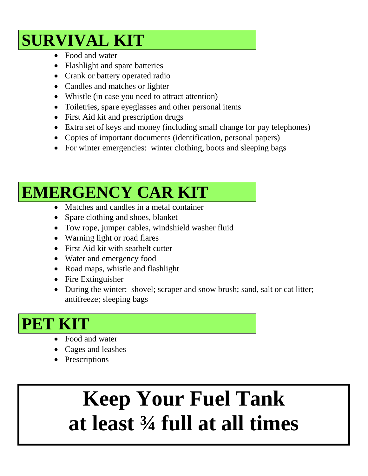#### **SURVIVAL KIT**

- Food and water
- Flashlight and spare batteries
- Crank or battery operated radio
- Candles and matches or lighter
- Whistle (in case you need to attract attention)
- Toiletries, spare eyeglasses and other personal items
- First Aid kit and prescription drugs
- Extra set of keys and money (including small change for pay telephones)
- Copies of important documents (identification, personal papers)
- For winter emergencies: winter clothing, boots and sleeping bags

## **EMERGENCY CAR KIT**

- Matches and candles in a metal container
- Spare clothing and shoes, blanket
- Tow rope, jumper cables, windshield washer fluid
- Warning light or road flares
- First Aid kit with seatbelt cutter
- Water and emergency food
- Road maps, whistle and flashlight
- Fire Extinguisher
- During the winter: shovel; scraper and snow brush; sand, salt or cat litter; antifreeze; sleeping bags

#### **PET KIT**

- Food and water
- Cages and leashes
- Prescriptions

## **Keep Your Fuel Tank at least ¾ full at all times**